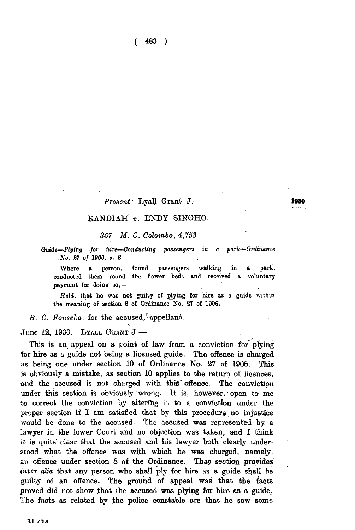## *Present:* Lyall Grant J.

## KANDIAH *v.* ENDY SINGHO.

## 3,57—*M. G. Colombo, 4,753*

*Guide*—Plying for hire—Conducting passengers in a park—Ordinance *No.* 27 of 1906, s. 8.

Where a person, found passengers walking in a park, conducted them round the flower beds and received a voluntary payment for doing so,-

Held, that he was not guilty of plying for hire as a guide within the meaning of section 8 of Ordinance No. 27 of 1906.

*R. C. Fonseka, for* the accused,''appellant.

June 12, 1930. LYALL GRANT J.-

This is an appeal on a point of law from a conviction for plying for hire as a guide not being a licensed guide. The offence is charged as being one under section 10 of Ordinance No: 27 of 1906. This is obviously a mistake, as section 10 applies to the return of licences, and the accused is not charged with this offence. The conviction under this section is obviously wrong. It is, however, open to me to correct the conviction by altering it to a conviction under the proper section if I am satisfied that by this procedure no injustice would be done to the accused. The accused was represented by a lawyer in the lower Court and no objection was taken, and I think it is quite clear that the accused and his lawyer both clearly understood what the offence was with which he was. charged, namely, an offence under section 8 of the Ordinance. That section provides *inter alia* that any person who shall ply for hire as a guide shall be guilty of an offence. The ground of appeal was that the facts proved did not show that the accused was plying for hire as a guide. The facts as related by the police constable are that he saw some 1930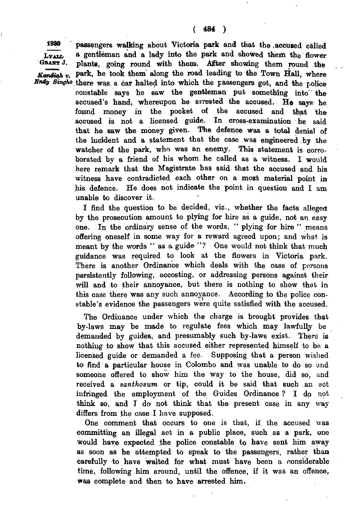Kandiah v.

passengers walking about Victoria park and that the accused called LYALL a gentleman and a lady into the park and showed them the flower GRANT J. plants, going round with them. After showing them round the park, he took them along the road leading to the Town Hall, where *Bniy Singho* there was. a car halted into which the passengers got, and the police constable says he saw the gentleman put something into' the accused's hand, whereupon he arrested the accused. He says he found money in the pocket of the accused and that the accused is not a licensed guide. In cross-examination he said that he saw the money given. The defence was a total denial of the incident and a statement that the case was engineered by the watcher of the park, who was an enemy. This statement is corroborated by a friend of his whom he called as a witness. I would here remark that the Magistrate has said that the accused and his witness have contradicted each other on a most material point in his defence. He does not indicate the point in question and I am unable to discover it.

> I find the question to be decided, viz., whether the facts alleged by the prosecution amount to plying for hire as a guide, not an easy one. In the ordinary sense of the words, " plying for hire " means offering oneself in some way for a reward agreed upon; and what js meant by the words " as a guide "? One would not think that much guidance was required to look at the flowers in Victoria park. There is another Ordinance which deals with the case of persons persistently following, accosting, or addressing persons against their will and to their annoyance, but there is nothing to show that in this case there was any such annoyance. According to the police constable's evidence the passengers were quite satisfied with the accused.

> The Ordinance under which the charge is brought provides that by-laws may be made to regulate fees which may lawfully be demanded by guides, and presumably such by-laws exist. There is nothing to show that this accused either represented himself to be a licensed guide or demanded a fee. Supposing that a person wished to find a particular house in Colombo and was unable to do so and someone offered to show him the way to the house, did so, and received a s*anthosum* or tip, could it be said that such an act infringed the employment of the Guides Ordinance ? I do not think so, and I do not think that the present case in any way differs from the case I have supposed.

> One comment that occurs to one is that, if. the accused was committing an illegal act in a public place, such as a park, one would have expected the police constable to have sent him away as soon as he attempted to speak to the passengers, rather than carefully to have waited for what must have been a considerable time, following him around, until the offence, if it was an offence, was complete and then to have arrested him.